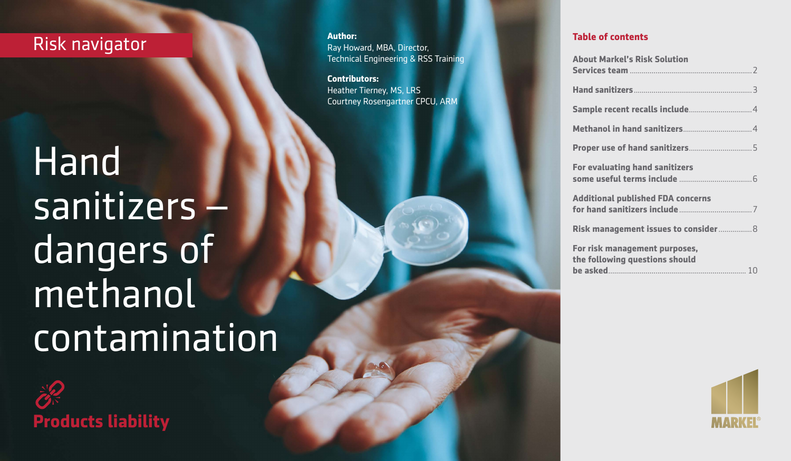## Risk navigator **Author:**

# Hand sanitizers – dangers of methanol contamination

**Products liability**

Ray Howard, MBA, Director, Technical Engineering & RSS Training

**Contributors:** Heather Tierney, MS, LRS Courtney Rosengartner CPCU, ARM

| <b>About Markel's Risk Solution</b>                             |
|-----------------------------------------------------------------|
|                                                                 |
|                                                                 |
|                                                                 |
|                                                                 |
| <b>For evaluating hand sanitizers</b>                           |
| <b>Additional published FDA concerns</b>                        |
| Risk management issues to consider 8                            |
| For risk management purposes,<br>the following questions should |

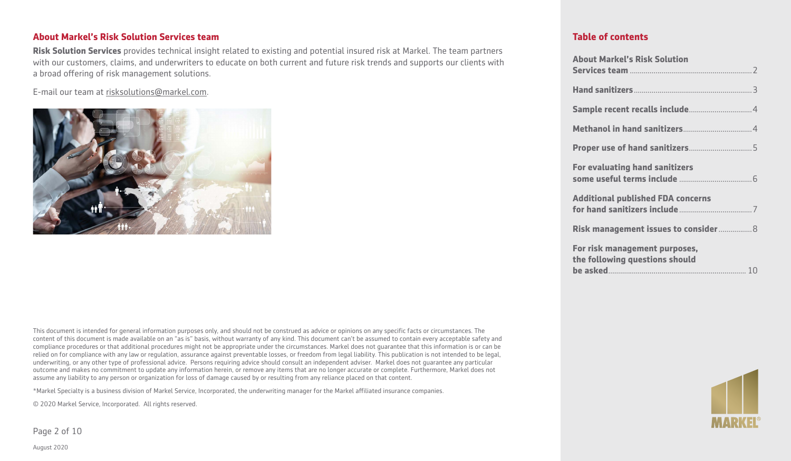#### **About Markel's Risk Solution Services team**

**Risk Solution Services** provides technical insight related to existing and potential insured risk at Markel. The team partners with our customers, claims, and underwriters to educate on both current and future risk trends and supports our clients with a broad offering of risk management solutions.

E-mail our team at [risksolutions@markel.com.](mailto:https://www.nhtsa.gov/equipment/car-seats-and-booster-seats)



This document is intended for general information purposes only, and should not be construed as advice or opinions on any specific facts or circumstances. The content of this document is made available on an "as is" basis, without warranty of any kind. This document can't be assumed to contain every acceptable safety and compliance procedures or that additional procedures might not be appropriate under the circumstances. Markel does not guarantee that this information is or can be relied on for compliance with any law or regulation, assurance against preventable losses, or freedom from legal liability. This publication is not intended to be legal, underwriting, or any other type of professional advice. Persons requiring advice should consult an independent adviser. Markel does not guarantee any particular outcome and makes no commitment to update any information herein, or remove any items that are no longer accurate or complete. Furthermore, Markel does not assume any liability to any person or organization for loss of damage caused by or resulting from any reliance placed on that content.

\*Markel Specialty is a business division of Markel Service, Incorporated, the underwriting manager for the Markel affiliated insurance companies.

© 2020 Markel Service, Incorporated. All rights reserved.

Page 2 of 10

August 2020

| <b>About Markel's Risk Solution</b>                             |
|-----------------------------------------------------------------|
|                                                                 |
|                                                                 |
|                                                                 |
|                                                                 |
|                                                                 |
| <b>For evaluating hand sanitizers</b>                           |
|                                                                 |
| <b>Additional published FDA concerns</b>                        |
| Risk management issues to consider 8                            |
| For risk management purposes,<br>the following questions should |
|                                                                 |

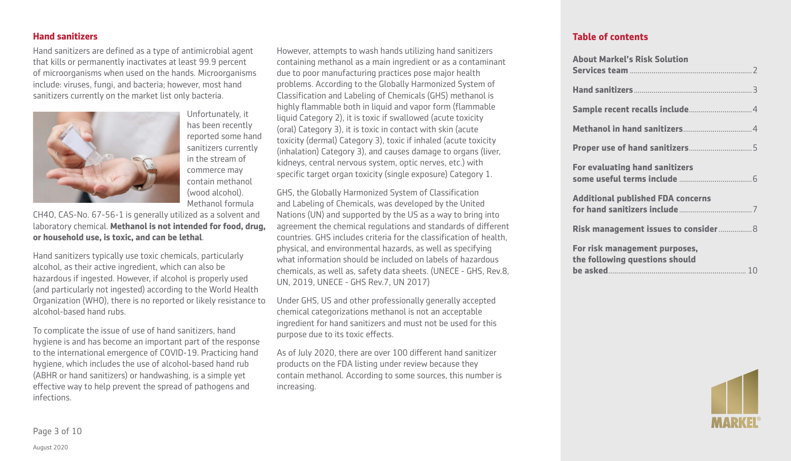#### **Hand sanitizers**

Hand sanitizers are defined as a type of antimicrobial agent that kills or permanently inactivates at least 99.9 percent of microorganisms when used on the hands. Microorganisms include: viruses, fungi, and bacteria; however, most hand sanitizers currently on the market list only bacteria.



Unfortunately, it has been recently reported some hand sanitizers currently in the stream of commerce may contain methanol (wood alcohol). Methanol formula

CH4O, CAS-No. 67-56-1 is generally utilized as a solvent and laboratory chemical. **Methanol is not intended for food, drug, or household use, is toxic, and can be lethal**.

Hand sanitizers typically use toxic chemicals, particularly alcohol, as their active ingredient, which can also be hazardous if ingested. However, if alcohol is properly used (and particularly not ingested) according to the World Health Organization (WHO), there is no reported or likely resistance to alcohol-based hand rubs.

To complicate the issue of use of hand sanitizers, hand hygiene is and has become an important part of the response to the international emergence of COVID-19. Practicing hand hygiene, which includes the use of alcohol-based hand rub (ABHR or hand sanitizers) or handwashing, is a simple yet effective way to help prevent the spread of pathogens and infections.

However, attempts to wash hands utilizing hand sanitizers containing methanol as a main ingredient or as a contaminant due to poor manufacturing practices pose major health problems. According to the Globally Harmonized System of Classification and Labeling of Chemicals (GHS) methanol is highly flammable both in liquid and vapor form (flammable liquid Category 2), it is toxic if swallowed (acute toxicity (oral) Category 3), it is toxic in contact with skin (acute toxicity (dermal) Category 3), toxic if inhaled (acute toxicity (inhalation) Category 3), and causes damage to organs (liver, kidneys, central nervous system, optic nerves, etc.) with specific target organ toxicity (single exposure) Category 1.

GHS, the Globally Harmonized System of Classification and Labeling of Chemicals, was developed by the United Nations (UN) and supported by the US as a way to bring into agreement the chemical regulations and standards of different countries. GHS includes criteria for the classification of health, physical, and environmental hazards, as well as specifying what information should be included on labels of hazardous chemicals, as well as, safety data sheets. (UNECE - GHS, Rev.8, UN, 2019, UNECE - GHS Rev.7, UN 2017)

Under GHS, US and other professionally generally accepted chemical categorizations methanol is not an acceptable ingredient for hand sanitizers and must not be used for this purpose due to its toxic effects.

As of July 2020, there are over 100 different hand sanitizer products on the FDA listing under review because they contain methanol. According to some sources, this number is increasing.

#### **Table of contents**

| <b>About Markel's Risk Solution</b>                             |  |
|-----------------------------------------------------------------|--|
|                                                                 |  |
|                                                                 |  |
|                                                                 |  |
|                                                                 |  |
|                                                                 |  |
| <b>For evaluating hand sanitizers</b>                           |  |
| <b>Additional published FDA concerns</b>                        |  |
| Risk management issues to consider  8                           |  |
| For risk management purposes,<br>the following questions should |  |
|                                                                 |  |



Page 3 of 10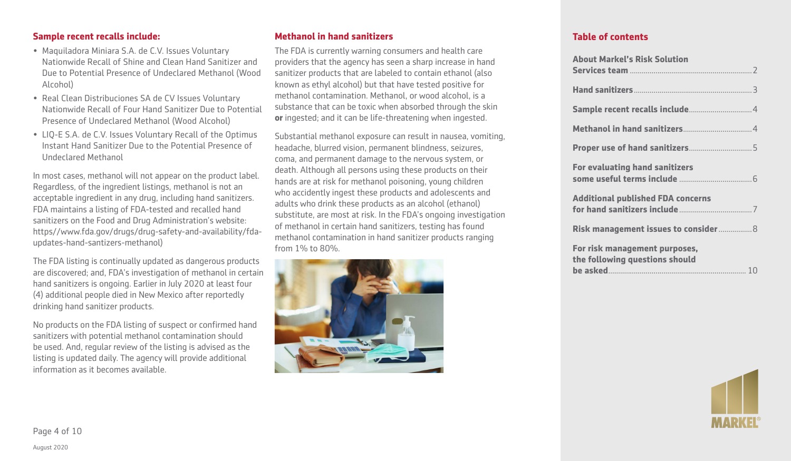#### **Sample recent recalls include:**

- Maquiladora Miniara S.A. de C.V. Issues Voluntary Nationwide Recall of Shine and Clean Hand Sanitizer and Due to Potential Presence of Undeclared Methanol (Wood Alcohol)
- Real Clean Distribuciones SA de CV Issues Voluntary Nationwide Recall of Four Hand Sanitizer Due to Potential Presence of Undeclared Methanol (Wood Alcohol)
- LIQ-E S.A. de C.V. Issues Voluntary Recall of the Optimus Instant Hand Sanitizer Due to the Potential Presence of Undeclared Methanol

In most cases, methanol will not appear on the product label. Regardless, of the ingredient listings, methanol is not an acceptable ingredient in any drug, including hand sanitizers. FDA maintains a listing of FDA-tested and recalled hand sanitizers on the Food and Drug Administration's website: https//www.fda.gov/drugs/drug-safety-and-availability/fdaupdates-hand-santizers-methanol)

The FDA listing is continually updated as dangerous products are discovered; and, FDA's investigation of methanol in certain hand sanitizers is ongoing. Earlier in July 2020 at least four (4) additional people died in New Mexico after reportedly drinking hand sanitizer products.

No products on the FDA listing of suspect or confirmed hand sanitizers with potential methanol contamination should be used. And, regular review of the listing is advised as the listing is updated daily. The agency will provide additional information as it becomes available.

#### **Methanol in hand sanitizers**

The FDA is currently warning consumers and health care providers that the agency has seen a sharp increase in hand sanitizer products that are labeled to contain ethanol (also known as ethyl alcohol) but that have tested positive for methanol contamination. Methanol, or wood alcohol, is a substance that can be toxic when absorbed through the skin **or** ingested; and it can be life-threatening when ingested.

Substantial methanol exposure can result in nausea, vomiting, headache, blurred vision, permanent blindness, seizures, coma, and permanent damage to the nervous system, or death. Although all persons using these products on their hands are at risk for methanol poisoning, young children who accidently ingest these products and adolescents and adults who drink these products as an alcohol (ethanol) substitute, are most at risk. In the FDA's ongoing investigation of methanol in certain hand sanitizers, testing has found methanol contamination in hand sanitizer products ranging from 1% to 80%.



| <b>About Markel's Risk Solution</b>                             |
|-----------------------------------------------------------------|
|                                                                 |
|                                                                 |
|                                                                 |
|                                                                 |
| <b>For evaluating hand sanitizers</b>                           |
| <b>Additional published FDA concerns</b>                        |
| Risk management issues to consider 8                            |
| For risk management purposes,<br>the following questions should |

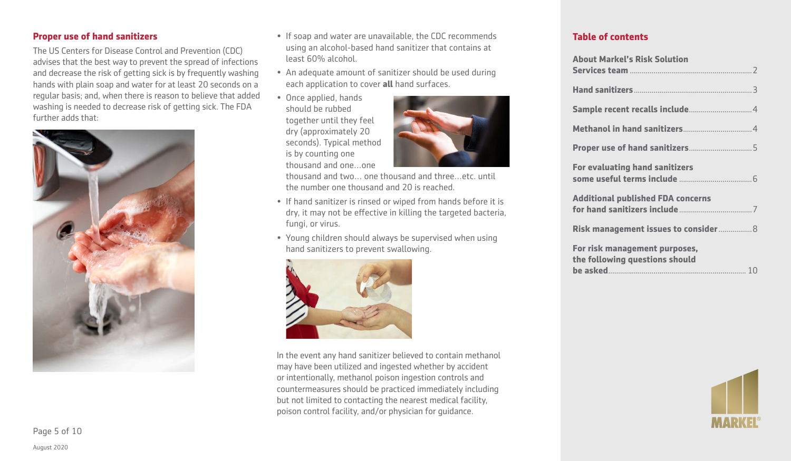#### **Proper use of hand sanitizers**

The US Centers for Disease Control and Prevention (CDC) advises that the best way to prevent the spread of infections and decrease the risk of getting sick is by frequently washing hands with plain soap and water for at least 20 seconds on a regular basis; and, when there is reason to believe that added washing is needed to decrease risk of getting sick. The FDA further adds that:



- If soap and water are unavailable, the CDC recommends using an alcohol-based hand sanitizer that contains at least 60% alcohol.
- An adequate amount of sanitizer should be used during each application to cover **all** hand surfaces.
- Once applied, hands should be rubbed together until they feel dry (approximately 20 seconds). Typical method is by counting one thousand and one…one



thousand and two… one thousand and three…etc. until the number one thousand and 20 is reached.

- If hand sanitizer is rinsed or wiped from hands before it is dry, it may not be effective in killing the targeted bacteria, fungi, or virus.
- Young children should always be supervised when using hand sanitizers to prevent swallowing.



In the event any hand sanitizer believed to contain methanol may have been utilized and ingested whether by accident or intentionally, methanol poison ingestion controls and countermeasures should be practiced immediately including but not limited to contacting the nearest medical facility, poison control facility, and/or physician for guidance.

| <b>About Markel's Risk Solution</b>                             |
|-----------------------------------------------------------------|
|                                                                 |
|                                                                 |
|                                                                 |
|                                                                 |
| <b>For evaluating hand sanitizers</b>                           |
| <b>Additional published FDA concerns</b>                        |
| Risk management issues to consider  8                           |
| For risk management purposes,<br>the following questions should |

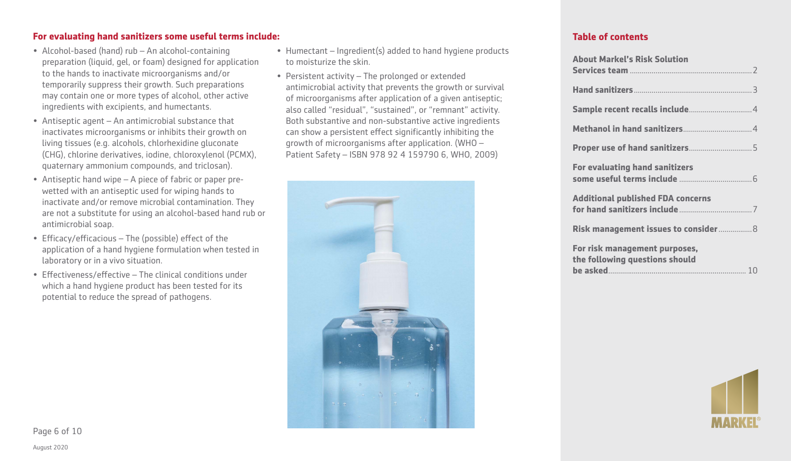#### **For evaluating hand sanitizers some useful terms include:**

- Alcohol-based (hand) rub An alcohol-containing preparation (liquid, gel, or foam) designed for application to the hands to inactivate microorganisms and/or temporarily suppress their growth. Such preparations may contain one or more types of alcohol, other active ingredients with excipients, and humectants.
- Antiseptic agent An antimicrobial substance that inactivates microorganisms or inhibits their growth on living tissues (e.g. alcohols, chlorhexidine gluconate (CHG), chlorine derivatives, iodine, chloroxylenol (PCMX), quaternary ammonium compounds, and triclosan).
- Antiseptic hand wipe A piece of fabric or paper prewetted with an antiseptic used for wiping hands to inactivate and/or remove microbial contamination. They are not a substitute for using an alcohol-based hand rub or antimicrobial soap.
- Efficacy/efficacious The (possible) effect of the application of a hand hygiene formulation when tested in laboratory or in a vivo situation.
- Effectiveness/effective The clinical conditions under which a hand hygiene product has been tested for its potential to reduce the spread of pathogens.
- Humectant Ingredient(s) added to hand hygiene products to moisturize the skin.
- Persistent activity The prolonged or extended antimicrobial activity that prevents the growth or survival of microorganisms after application of a given antiseptic; also called "residual", "sustained", or "remnant" activity. Both substantive and non-substantive active ingredients can show a persistent effect significantly inhibiting the growth of microorganisms after application. (WHO – Patient Safety – ISBN 978 92 4 159790 6, WHO, 2009)



| <b>About Markel's Risk Solution</b>                             |  |
|-----------------------------------------------------------------|--|
|                                                                 |  |
|                                                                 |  |
|                                                                 |  |
|                                                                 |  |
|                                                                 |  |
| <b>For evaluating hand sanitizers</b>                           |  |
| <b>Additional published FDA concerns</b>                        |  |
| Risk management issues to consider 8                            |  |
| For risk management purposes,<br>the following questions should |  |
|                                                                 |  |

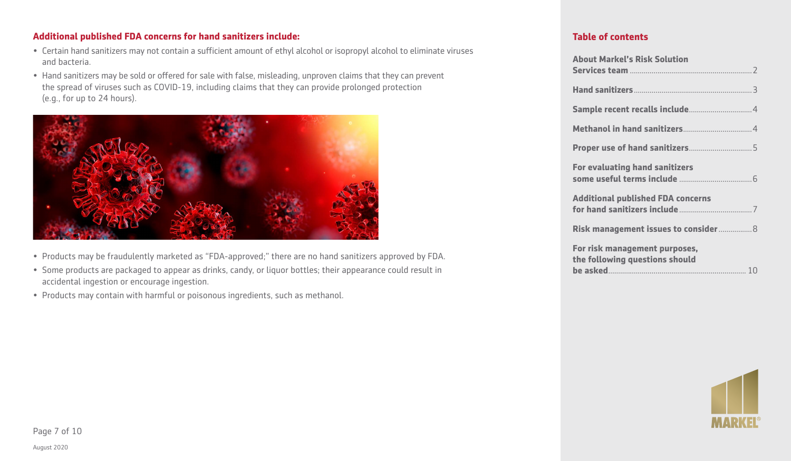#### **Additional published FDA concerns for hand sanitizers include:**

- Certain hand sanitizers may not contain a sufficient amount of ethyl alcohol or isopropyl alcohol to eliminate viruses and bacteria.
- Hand sanitizers may be sold or offered for sale with false, misleading, unproven claims that they can prevent the spread of viruses such as COVID-19, including claims that they can provide prolonged protection (e.g., for up to 24 hours).



- Products may be fraudulently marketed as "FDA-approved;" there are no hand sanitizers approved by FDA.
- Some products are packaged to appear as drinks, candy, or liquor bottles; their appearance could result in accidental ingestion or encourage ingestion.
- Products may contain with harmful or poisonous ingredients, such as methanol.

| <b>About Markel's Risk Solution</b>                             |
|-----------------------------------------------------------------|
|                                                                 |
|                                                                 |
|                                                                 |
|                                                                 |
| <b>For evaluating hand sanitizers</b>                           |
| <b>Additional published FDA concerns</b>                        |
| Risk management issues to consider  8                           |
| For risk management purposes,<br>the following questions should |

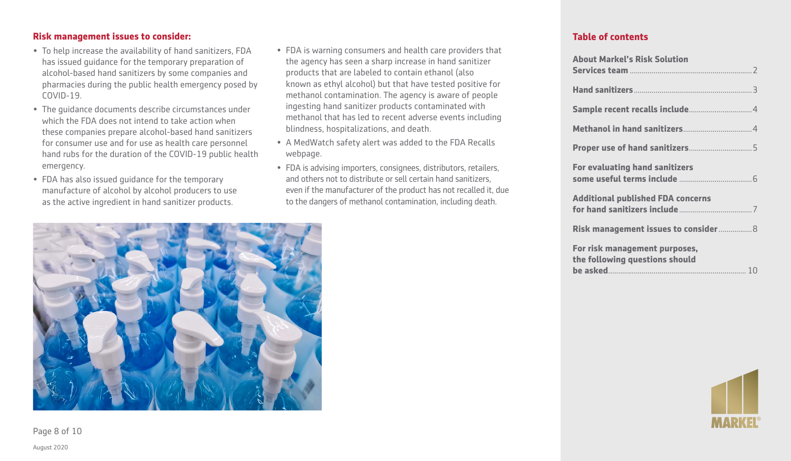#### **Risk management issues to consider:**

- To help increase the availability of hand sanitizers, FDA has issued guidance for the temporary preparation of alcohol-based hand sanitizers by some companies and pharmacies during the public health emergency posed by COVID-19.
- The guidance documents describe circumstances under which the FDA does not intend to take action when these companies prepare alcohol-based hand sanitizers for consumer use and for use as health care personnel hand rubs for the duration of the COVID-19 public health emergency.
- FDA has also issued guidance for the temporary manufacture of alcohol by alcohol producers to use as the active ingredient in hand sanitizer products.
- FDA is warning consumers and health care providers that the agency has seen a sharp increase in hand sanitizer products that are labeled to contain ethanol (also known as ethyl alcohol) but that have tested positive for methanol contamination. The agency is aware of people ingesting hand sanitizer products contaminated with methanol that has led to recent adverse events including blindness, hospitalizations, and death.
- A MedWatch safety alert was added to the FDA Recalls webpage.
- FDA is advising importers, consignees, distributors, retailers, and others not to distribute or sell certain hand sanitizers, even if the manufacturer of the product has not recalled it, due to the dangers of methanol contamination, including death.

#### **Table of contents**

| <b>About Markel's Risk Solution</b>                             |
|-----------------------------------------------------------------|
|                                                                 |
|                                                                 |
|                                                                 |
|                                                                 |
| <b>For evaluating hand sanitizers</b>                           |
| <b>Additional published FDA concerns</b>                        |
| Risk management issues to consider  8                           |
| For risk management purposes,<br>the following questions should |





Page 8 of 10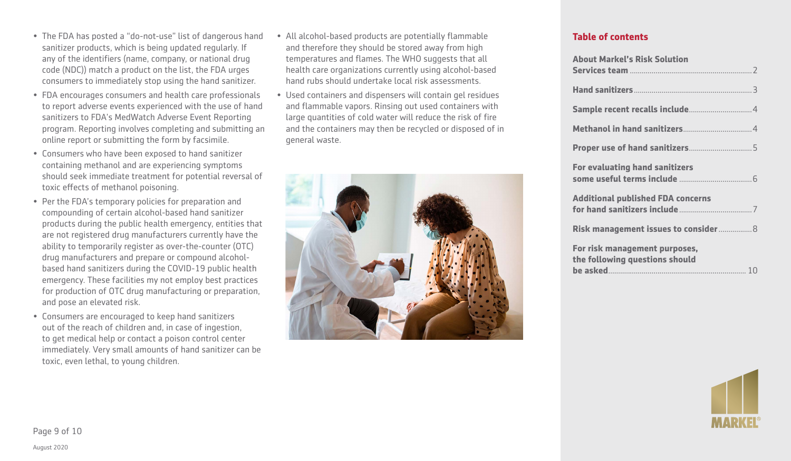- FDA encourages consumers and health care professionals to report adverse events experienced with the use of hand sanitizers to FDA's MedWatch Adverse Event Reporting program. Reporting involves completing and submitting an online report or submitting the form by facsimile.
- Consumers who have been exposed to hand sanitizer containing methanol and are experiencing symptoms should seek immediate treatment for potential reversal of toxic effects of methanol poisoning.
- Per the FDA's temporary policies for preparation and compounding of certain alcohol-based hand sanitizer products during the public health emergency, entities that are not registered drug manufacturers currently have the ability to temporarily register as over-the-counter (OTC) drug manufacturers and prepare or compound alcoholbased hand sanitizers during the COVID-19 public health emergency. These facilities my not employ best practices for production of OTC drug manufacturing or preparation, and pose an elevated risk.
- Consumers are encouraged to keep hand sanitizers out of the reach of children and, in case of ingestion, to get medical help or contact a poison control center immediately. Very small amounts of hand sanitizer can be toxic, even lethal, to young children.
- All alcohol-based products are potentially flammable and therefore they should be stored away from high temperatures and flames. The WHO suggests that all health care organizations currently using alcohol-based hand rubs should undertake local risk assessments.
- Used containers and dispensers will contain gel residues and flammable vapors. Rinsing out used containers with large quantities of cold water will reduce the risk of fire and the containers may then be recycled or disposed of in general waste.



| <b>About Markel's Risk Solution</b>                             |
|-----------------------------------------------------------------|
|                                                                 |
|                                                                 |
|                                                                 |
|                                                                 |
| <b>For evaluating hand sanitizers</b>                           |
| <b>Additional published FDA concerns</b>                        |
| Risk management issues to consider 8                            |
| For risk management purposes,<br>the following questions should |